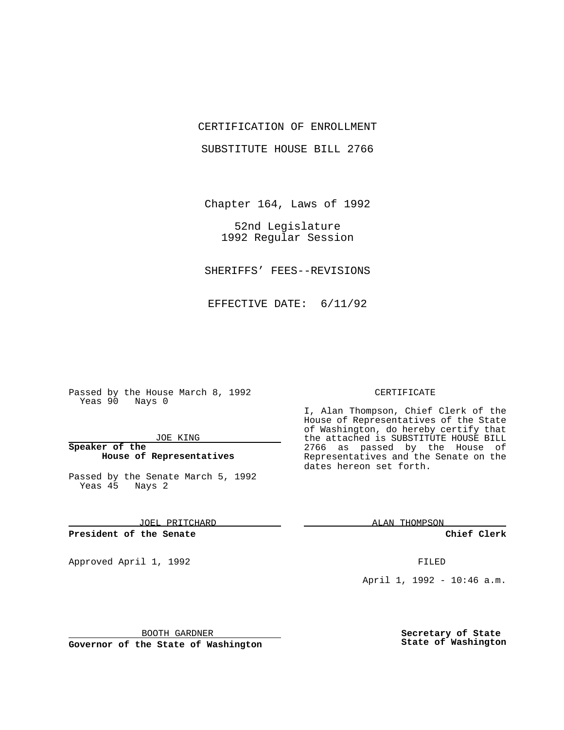### CERTIFICATION OF ENROLLMENT

SUBSTITUTE HOUSE BILL 2766

Chapter 164, Laws of 1992

52nd Legislature 1992 Regular Session

SHERIFFS' FEES--REVISIONS

EFFECTIVE DATE: 6/11/92

Passed by the House March 8, 1992 Yeas 90 Nays 0

#### JOE KING

### **Speaker of the House of Representatives**

Passed by the Senate March 5, 1992 Yeas 45 Nays 2

JOEL PRITCHARD

**President of the Senate**

Approved April 1, 1992 **FILED** 

# CERTIFICATE

I, Alan Thompson, Chief Clerk of the House of Representatives of the State of Washington, do hereby certify that the attached is SUBSTITUTE HOUSE BILL 2766 as passed by the House of Representatives and the Senate on the dates hereon set forth.

ALAN THOMPSON

**Chief Clerk**

April 1, 1992 - 10:46 a.m.

BOOTH GARDNER

**Governor of the State of Washington**

**Secretary of State State of Washington**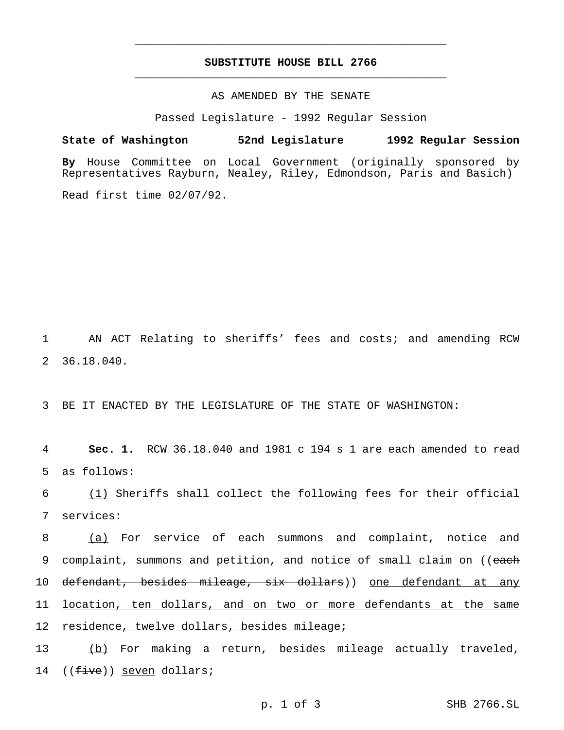## **SUBSTITUTE HOUSE BILL 2766** \_\_\_\_\_\_\_\_\_\_\_\_\_\_\_\_\_\_\_\_\_\_\_\_\_\_\_\_\_\_\_\_\_\_\_\_\_\_\_\_\_\_\_\_\_\_\_

\_\_\_\_\_\_\_\_\_\_\_\_\_\_\_\_\_\_\_\_\_\_\_\_\_\_\_\_\_\_\_\_\_\_\_\_\_\_\_\_\_\_\_\_\_\_\_

## AS AMENDED BY THE SENATE

Passed Legislature - 1992 Regular Session

**State of Washington 52nd Legislature 1992 Regular Session**

**By** House Committee on Local Government (originally sponsored by Representatives Rayburn, Nealey, Riley, Edmondson, Paris and Basich)

Read first time 02/07/92.

1 AN ACT Relating to sheriffs' fees and costs; and amending RCW 2 36.18.040.

3 BE IT ENACTED BY THE LEGISLATURE OF THE STATE OF WASHINGTON:

4 **Sec. 1.** RCW 36.18.040 and 1981 c 194 s 1 are each amended to read 5 as follows:

6 (1) Sheriffs shall collect the following fees for their official 7 services:

8 (a) For service of each summons and complaint, notice and 9 complaint, summons and petition, and notice of small claim on ((each 10 <del>defendant, besides mileage, six dollars</del>)) <u>one defendant at any</u> 11 location, ten dollars, and on two or more defendants at the same 12 residence, twelve dollars, besides mileage;

13 (b) For making a return, besides mileage actually traveled, 14 ((five)) seven dollars;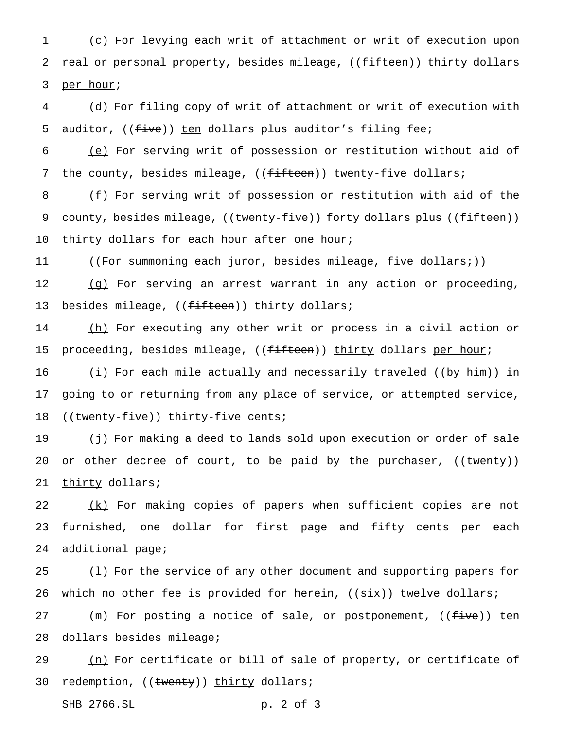1 (c) For levying each writ of attachment or writ of execution upon 2 real or personal property, besides mileage, ((<del>fifteen</del>)) thirty dollars 3 per hour;

4 (d) For filing copy of writ of attachment or writ of execution with 5 auditor, ((five)) ten dollars plus auditor's filing fee;

6 (e) For serving writ of possession or restitution without aid of 7 the county, besides mileage, ((fifteen)) twenty-five dollars;

8 (f) For serving writ of possession or restitution with aid of the 9 county, besides mileage, ((twenty-five)) forty dollars plus ((fifteen)) 10 thirty dollars for each hour after one hour;

11 ((F<del>or summoning each juror, besides mileage, five dollars;</del>))

12 (g) For serving an arrest warrant in any action or proceeding, 13 besides mileage, ((fifteen)) thirty dollars;

14 (h) For executing any other writ or process in a civil action or 15 proceeding, besides mileage, ((fifteen)) thirty dollars per hour;

16 (i) For each mile actually and necessarily traveled ((by him)) in 17 going to or returning from any place of service, or attempted service, 18 ((twenty-five)) thirty-five cents;

19 (j) For making a deed to lands sold upon execution or order of sale 20 or other decree of court, to be paid by the purchaser, ((twenty)) 21 thirty dollars;

22 (k) For making copies of papers when sufficient copies are not 23 furnished, one dollar for first page and fifty cents per each 24 additional page;

25  $(1)$  For the service of any other document and supporting papers for 26 which no other fee is provided for herein, ((six)) twelve dollars;

27 (m) For posting a notice of sale, or postponement, ((<del>five</del>)) ten 28 dollars besides mileage;

29 (n) For certificate or bill of sale of property, or certificate of 30 redemption, ((twenty)) thirty dollars;

SHB 2766.SL p. 2 of 3